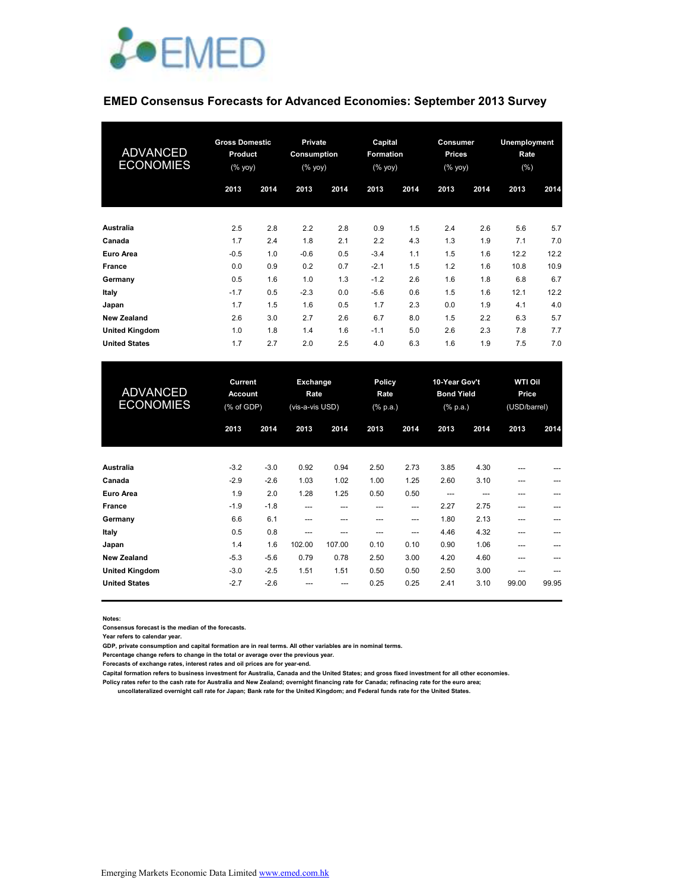

#### **EMED Consensus Forecasts for Advanced Economies: September 2013 Survey**

| <b>ADVANCED</b><br><b>ECONOMIES</b> | <b>Gross Domestic</b><br><b>Product</b><br>(% yoy) |      | <b>Private</b><br>Consumption<br>(% yoy) |      | Capital<br><b>Formation</b><br>(% yoy) |      | Consumer<br><b>Prices</b><br>(% yoy) |      | Unemployment<br>Rate<br>$(\% )$ |      |
|-------------------------------------|----------------------------------------------------|------|------------------------------------------|------|----------------------------------------|------|--------------------------------------|------|---------------------------------|------|
|                                     | 2013                                               | 2014 | 2013                                     | 2014 | 2013                                   | 2014 | 2013                                 | 2014 | 2013                            | 2014 |
| Australia                           | 2.5                                                | 2.8  | 2.2                                      | 2.8  | 0.9                                    | 1.5  | 2.4                                  | 2.6  | 5.6                             | 5.7  |
| Canada                              | 1.7                                                | 2.4  | 1.8                                      | 2.1  | 2.2                                    | 4.3  | 1.3                                  | 1.9  | 7.1                             | 7.0  |
| Euro Area                           | $-0.5$                                             | 1.0  | $-0.6$                                   | 0.5  | $-3.4$                                 | 1.1  | 1.5                                  | 1.6  | 12.2                            | 12.2 |
| <b>France</b>                       | 0.0                                                | 0.9  | 0.2                                      | 0.7  | $-2.1$                                 | 1.5  | 1.2                                  | 1.6  | 10.8                            | 10.9 |
| Germany                             | 0.5                                                | 1.6  | 1.0                                      | 1.3  | $-1.2$                                 | 2.6  | 1.6                                  | 1.8  | 6.8                             | 6.7  |
| Italy                               | $-1.7$                                             | 0.5  | $-2.3$                                   | 0.0  | $-5.6$                                 | 0.6  | 1.5                                  | 1.6  | 12.1                            | 12.2 |
| Japan                               | 1.7                                                | 1.5  | 1.6                                      | 0.5  | 1.7                                    | 2.3  | 0.0                                  | 1.9  | 4.1                             | 4.0  |
| <b>New Zealand</b>                  | 2.6                                                | 3.0  | 2.7                                      | 2.6  | 6.7                                    | 8.0  | 1.5                                  | 2.2  | 6.3                             | 5.7  |
| <b>United Kingdom</b>               | 1.0                                                | 1.8  | 1.4                                      | 1.6  | $-1.1$                                 | 5.0  | 2.6                                  | 2.3  | 7.8                             | 7.7  |
| <b>United States</b>                | 1.7                                                | 2.7  | 2.0                                      | 2.5  | 4.0                                    | 6.3  | 1.6                                  | 1.9  | 7.5                             | 7.0  |

| <b>ADVANCED</b><br><b>ECONOMIES</b> |        | Current<br><b>Account</b><br>(% of GDP) |        | Exchange<br>Rate<br>(vis-a-vis USD) | Policy<br>Rate<br>$(% \mathbb{R}^2)$ (% p.a.) |       | 10-Year Gov't<br><b>Bond Yield</b><br>$(% \mathbf{a})$ (% p.a.) |      | <b>WTI Oil</b><br>Price<br>(USD/barrel) |       |  |
|-------------------------------------|--------|-----------------------------------------|--------|-------------------------------------|-----------------------------------------------|-------|-----------------------------------------------------------------|------|-----------------------------------------|-------|--|
|                                     | 2013   | 2014                                    | 2013   | 2014                                | 2013                                          | 2014  | 2013                                                            | 2014 | 2013                                    | 2014  |  |
| <b>Australia</b>                    | $-3.2$ | $-3.0$                                  | 0.92   | 0.94                                | 2.50                                          | 2.73  | 3.85                                                            | 4.30 | ---                                     |       |  |
| Canada                              | $-2.9$ | $-2.6$                                  | 1.03   | 1.02                                | 1.00                                          | 1.25  | 2.60                                                            | 3.10 | ---                                     | ---   |  |
| Euro Area                           | 1.9    | 2.0                                     | 1.28   | 1.25                                | 0.50                                          | 0.50  | $---$                                                           | ---  | ---                                     |       |  |
| <b>France</b>                       | $-1.9$ | $-1.8$                                  | ---    | ---                                 | ---                                           | $---$ | 2.27                                                            | 2.75 | ---                                     |       |  |
| Germany                             | 6.6    | 6.1                                     | ---    | ---                                 | ---                                           | ---   | 1.80                                                            | 2.13 | ---                                     |       |  |
| Italy                               | 0.5    | 0.8                                     | ---    | ---                                 | ---                                           | ---   | 4.46                                                            | 4.32 | ---                                     |       |  |
| Japan                               | 1.4    | 1.6                                     | 102.00 | 107.00                              | 0.10                                          | 0.10  | 0.90                                                            | 1.06 | ---                                     |       |  |
| <b>New Zealand</b>                  | $-5.3$ | $-5.6$                                  | 0.79   | 0.78                                | 2.50                                          | 3.00  | 4.20                                                            | 4.60 | ---                                     |       |  |
| <b>United Kingdom</b>               | $-3.0$ | $-2.5$                                  | 1.51   | 1.51                                | 0.50                                          | 0.50  | 2.50                                                            | 3.00 | ---                                     | ---   |  |
| <b>United States</b>                | $-2.7$ | $-2.6$                                  |        | ---                                 | 0.25                                          | 0.25  | 2.41                                                            | 3.10 | 99.00                                   | 99.95 |  |

**Notes:** 

**Consensus forecast is the median of the forecasts.**

**Year refers to calendar year.**

**GDP, private consumption and capital formation are in real terms. All other variables are in nominal terms.**

**Percentage change refers to change in the total or average over the previous year.**

**Forecasts of exchange rates, interest rates and oil prices are for year-end.**

**Capital formation refers to business investment for Australia, Canada and the United States; and gross fixed investment for all other economies.**

**Policy rates refer to the cash rate for Australia and New Zealand; overnight financing rate for Canada; refinacing rate for the euro area;** 

 **uncollateralized overnight call rate for Japan; Bank rate for the United Kingdom; and Federal funds rate for the United States.**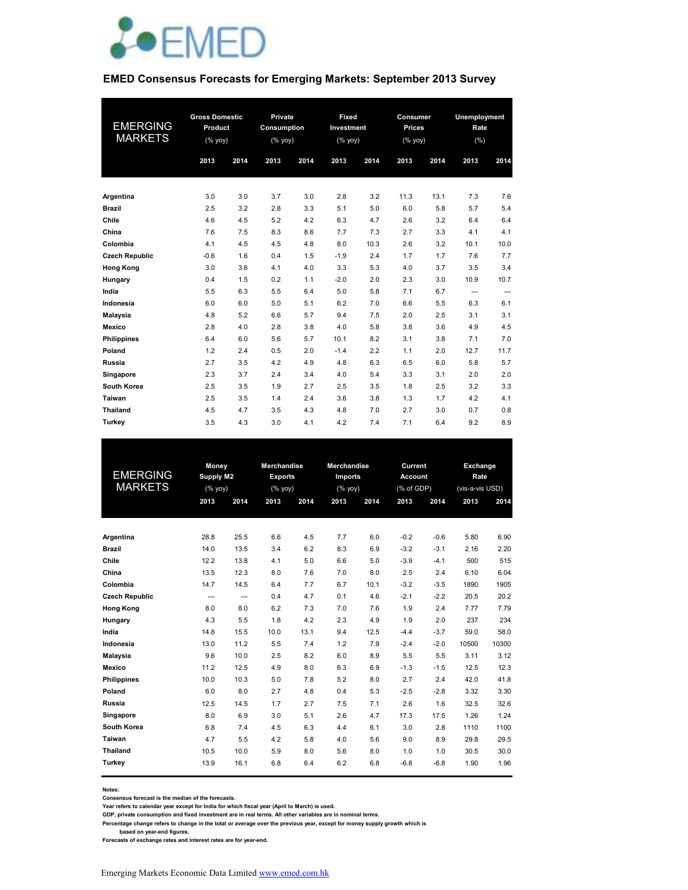

#### **EMED Consensus Forecasts for Emerging Markets: September 2013 Survey**

| <b>EMERGING</b><br><b>MARKETS</b> | <b>Gross Domestic</b><br>Product<br>(% yoy)<br>2014<br>2013 |     | 2013 | Private<br><b>Fixed</b><br>Consumption<br>Investment<br>(%<br>(% yoy)<br>2014<br>2013 |        | 2014 | Consumer<br>Prices<br>(% yoy)<br>2014<br>2013 |      | Unemployment<br>Rate<br>(% )<br>2013<br>2014 |          |
|-----------------------------------|-------------------------------------------------------------|-----|------|---------------------------------------------------------------------------------------|--------|------|-----------------------------------------------|------|----------------------------------------------|----------|
|                                   |                                                             |     |      |                                                                                       |        |      |                                               |      |                                              |          |
| Argentina                         | 3.0                                                         | 3.0 | 3.7  | 3.0                                                                                   | 2.8    | 3.2  | 11.3                                          | 13.1 | 7.3                                          | 7.6      |
| <b>Brazil</b>                     | 2.5                                                         | 3.2 | 2.8  | 3.3                                                                                   | 5.1    | 5.0  | 6.0                                           | 5.8  | 5.7                                          | 5.4      |
| Chile                             | 4.6                                                         | 4.5 | 5.2  | 4.2                                                                                   | 6.3    | 4.7  | 2.6                                           | 3.2  | 6.4                                          | 6.4      |
| China                             | 7.6                                                         | 7.5 | 8.3  | 8.6                                                                                   | 7.7    | 7.3  | 2.7                                           | 3.3  | 4.1                                          | 4.1      |
| Colombia                          | 4.1                                                         | 4.5 | 4.5  | 4.8                                                                                   | 8.0    | 10.3 | 2.6                                           | 3.2  | 10.1                                         | 10.0     |
| <b>Czech Republic</b>             | $-0.6$                                                      | 1.6 | 0.4  | 1.5                                                                                   | $-1.9$ | 2.4  | 1.7                                           | 1.7  | 7.6                                          | 7.7      |
| <b>Hong Kong</b>                  | 3.0                                                         | 3.6 | 4.1  | 4.0                                                                                   | 3.3    | 5.3  | 4.0                                           | 3.7  | 3.5                                          | 3.4      |
| Hungary                           | 0.4                                                         | 1.5 | 0.2  | 1.1                                                                                   | $-2.0$ | 2.0  | 2.3                                           | 3.0  | 10.9                                         | 10.7     |
| India                             | 5.5                                                         | 6.3 | 5.5  | 6.4                                                                                   | 5.0    | 5.8  | 7.1                                           | 6.7  | $---$                                        | $\cdots$ |
| Indonesia                         | 6.0                                                         | 6.0 | 5.0  | 5.1                                                                                   | 6.2    | 7.0  | 6.6                                           | 5.5  | 6.3                                          | 6.1      |
| <b>Malaysia</b>                   | 4.8                                                         | 5.2 | 6.6  | 5.7                                                                                   | 9.4    | 7.5  | 2.0                                           | 2.5  | 3.1                                          | 3.1      |
| Mexico                            | 2.8                                                         | 4.0 | 2.8  | 3.8                                                                                   | 4.0    | 5.8  | 3.8                                           | 3.6  | 4.9                                          | 4.5      |
| <b>Philippines</b>                | 6.4                                                         | 6.0 | 5.6  | 5.7                                                                                   | 10.1   | 8.2  | 3.1                                           | 3.8  | 7.1                                          | 7.0      |
| Poland                            | 1.2                                                         | 2.4 | 0.5  | 2.0                                                                                   | $-1.4$ | 2.2  | 1.1                                           | 2.0  | 12.7                                         | 11.7     |
| Russia                            | 2.7                                                         | 3.5 | 4.2  | 4.9                                                                                   | 4.8    | 6.3  | 6.5                                           | 6.0  | 5.8                                          | 5.7      |
| Singapore                         | 2.3                                                         | 3.7 | 2.4  | 3.4                                                                                   | 4.0    | 5.4  | 3.3                                           | 3.1  | 2.0                                          | 2.0      |
| South Korea                       | 2.5                                                         | 3.5 | 1.9  | 2.7                                                                                   | 2.5    | 3.5  | 1.8                                           | 2.5  | 3.2                                          | 3.3      |
| Taiwan                            | 2.5                                                         | 3.5 | 1.4  | 2.4                                                                                   | 3.6    | 3.8  | 1.3                                           | 1.7  | 4.2                                          | 4.1      |
| <b>Thailand</b>                   | 4.5                                                         | 4.7 | 3.5  | 4.3                                                                                   | 4.8    | 7.0  | 2.7                                           | 3.0  | 0.7                                          | 0.8      |
| Turkey                            | 3.5                                                         | 4.3 | 3.0  | 4.1                                                                                   | 4.2    | 7.4  | 7.1                                           | 6.4  | 9.2                                          | 8.9      |

|                       | <b>Money</b> |                  | <b>Merchandise</b> |                | <b>Merchandise</b> |      | Current        |        | Exchange        |       |
|-----------------------|--------------|------------------|--------------------|----------------|--------------------|------|----------------|--------|-----------------|-------|
| <b>EMERGING</b>       |              | <b>Supply M2</b> |                    | <b>Exports</b> | <b>Imports</b>     |      | <b>Account</b> |        | Rate            |       |
| <b>MARKETS</b>        |              | $(%$ yoy)        |                    | (% yoy)        | (% yoy)            |      | (% of GDP)     |        | (vis-a-vis USD) |       |
|                       | 2013         | 2014             | 2013               | 2014           | 2013               | 2014 | 2013           | 2014   | 2013            | 2014  |
|                       |              |                  |                    |                |                    |      |                |        |                 |       |
| Argentina             | 28.8         | 25.5             | 6.6                | 4.5            | 7.7                | 6.0  | $-0.2$         | $-0.6$ | 5.80            | 6.90  |
| <b>Brazil</b>         | 14.0         | 13.5             | 3.4                | 6.2            | 8.3                | 6.9  | $-3.2$         | $-3.1$ | 2.16            | 2.20  |
| Chile                 | 12.2         | 13.8             | 4.1                | 5.0            | 6.6                | 5.0  | $-3.9$         | $-4.1$ | 500             | 515   |
| China                 | 13.5         | 12.3             | 8.0                | 7.6            | 7.0                | 8.0  | 2.5            | 2.4    | 6.10            | 6.04  |
| Colombia              | 14.7         | 14.5             | 6.4                | 7.7            | 6.7                | 10.1 | $-3.2$         | $-3.5$ | 1890            | 1905  |
| <b>Czech Republic</b> | $---$        | $\overline{a}$   | 0.4                | 4.7            | 0.1                | 4.6  | $-2.1$         | $-2.2$ | 20.5            | 20.2  |
| <b>Hong Kong</b>      | 8.0          | 8.0              | 6.2                | 7.3            | 7.0                | 7.6  | 1.9            | 2.4    | 7.77            | 7.79  |
| Hungary               | 4.3          | 5.5              | 1.8                | 4.2            | 2.3                | 4.9  | 1.9            | 2.0    | 237             | 234   |
| India                 | 14.8         | 15.5             | 10.0               | 13.1           | 9.4                | 12.5 | $-4.4$         | $-3.7$ | 59.0            | 58.0  |
| Indonesia             | 13.0         | 11.2             | 5.5                | 7.4            | 1.2                | 7.9  | $-2.4$         | $-2.0$ | 10500           | 10300 |
| <b>Malaysia</b>       | 9.6          | 10.0             | 2.5                | 8.2            | 6.0                | 8.9  | 5.5            | 5.5    | 3.11            | 3.12  |
| Mexico                | 11.2         | 12.5             | 4.9                | 8.0            | 6.3                | 6.9  | $-1.3$         | $-1.5$ | 12.5            | 12.3  |
| <b>Philippines</b>    | 10.0         | 10.3             | 5.0                | 7.8            | 5.2                | 8.0  | 2.7            | 2.4    | 42.0            | 41.8  |
| Poland                | 6.0          | 8.0              | 2.7                | 4.8            | 0.4                | 5.3  | $-2.5$         | $-2.8$ | 3.32            | 3.30  |
| Russia                | 12.5         | 14.5             | 1.7                | 2.7            | 7.5                | 7.1  | 2.6            | 1.6    | 32.5            | 32.6  |
| Singapore             | 8.0          | 6.9              | 3.0                | 5.1            | 2.6                | 4.7  | 17.3           | 17.5   | 1.26            | 1.24  |
| South Korea           | 6.8          | 7.4              | 4.5                | 6.3            | 4.4                | 6.1  | 3.0            | 2.8    | 1110            | 1100  |
| Taiwan                | 4.7          | 5.5              | 4.2                | 5.8            | 4.0                | 5.6  | 9.0            | 8.9    | 29.8            | 29.5  |
| <b>Thailand</b>       | 10.5         | 10.0             | 5.9                | 8.0            | 5.6                | 8.0  | 1.0            | 1.0    | 30.5            | 30.0  |
| Turkey                | 13.9         | 16.1             | 6.8                | 6.4            | 6.2                | 6.8  | $-6.8$         | $-6.8$ | 1.90            | 1.96  |
|                       |              |                  |                    |                |                    |      |                |        |                 |       |

**Notes:** 

**Consensus forecast is the median of the forecasts.**

**Year refers to calendar year except for India for which fiscal year (April to March) is used. GDP, private consumption and fixed investment are in real terms. All other variables are in nominal terms.**

**Percentage change refers to change in the total or average over the previous year, except for money supply growth which is** 

 **based on year-end figures. Forecasts of exchange rates and interest rates are for year-end.**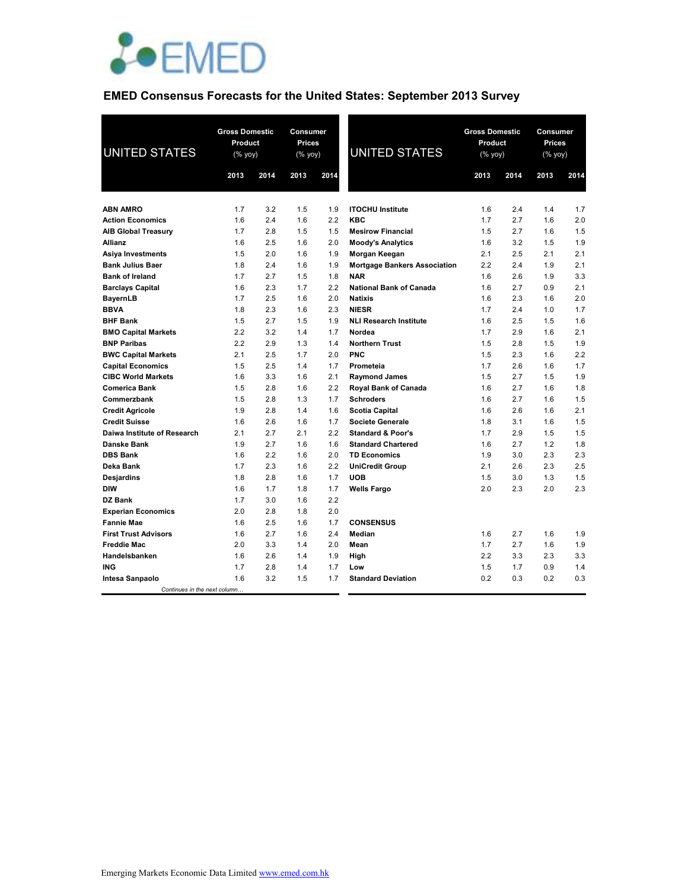

# **EMED Consensus Forecasts for the United States: September 2013 Survey**

| <b>UNITED STATES</b>                                  | <b>Gross Domestic</b><br>Product<br>(% yoy) |            | Consumer<br><b>Prices</b><br>(% yoy) |            | <b>UNITED STATES</b>                             | <b>Gross Domestic</b><br>Product<br>(% yoy) |            | Consumer<br><b>Prices</b><br>(% yoy) |            |  |
|-------------------------------------------------------|---------------------------------------------|------------|--------------------------------------|------------|--------------------------------------------------|---------------------------------------------|------------|--------------------------------------|------------|--|
|                                                       | 2013                                        | 2014       | 2013                                 | 2014       |                                                  | 2013                                        | 2014       | 2013                                 | 2014       |  |
|                                                       |                                             |            |                                      |            |                                                  |                                             |            |                                      |            |  |
| <b>ABN AMRO</b>                                       | 1.7                                         | 3.2        | 1.5                                  | 1.9        | <b>ITOCHU</b> Institute                          | 1.6                                         | 2.4        | 1.4                                  | 1.7        |  |
| <b>Action Economics</b>                               | 1.6                                         | 2.4        | 1.6                                  | 2.2        | <b>KBC</b>                                       | 1.7                                         | 2.7        | 1.6                                  | 2.0        |  |
| <b>AIB Global Treasury</b>                            | 1.7                                         | 2.8        | 1.5                                  | 1.5        | <b>Mesirow Financial</b>                         | 1.5                                         | 2.7        | 1.6                                  | 1.5        |  |
| <b>Allianz</b>                                        | 1.6                                         | 2.5        | 1.6                                  | 2.0        | <b>Moody's Analytics</b>                         | 1.6                                         | 3.2        | 1.5                                  | 1.9        |  |
| Asiya Investments                                     | 1.5                                         | 2.0        | 1.6                                  | 1.9        | Morgan Keegan                                    | 2.1                                         | 2.5        | 2.1                                  | 2.1        |  |
| <b>Bank Julius Baer</b>                               | 1.8                                         | 2.4        | 1.6                                  | 1.9        | <b>Mortgage Bankers Association</b>              | 2.2                                         | 2.4        | 1.9                                  | 2.1        |  |
| <b>Bank of Ireland</b>                                | 1.7                                         | 2.7        | 1.5                                  | 1.8        | <b>NAR</b>                                       | 1.6                                         | 2.6        | 1.9                                  | 3.3        |  |
| <b>Barclays Capital</b>                               | 1.6                                         | 2.3        | 1.7                                  | 2.2        | National Bank of Canada                          | 1.6                                         | 2.7        | 0.9                                  | 2.1        |  |
| <b>BayernLB</b>                                       | 1.7                                         | 2.5        | 1.6                                  | 2.0        | <b>Natixis</b>                                   | 1.6                                         | 2.3        | 1.6                                  | 2.0        |  |
| <b>BBVA</b>                                           | 1.8                                         | 2.3        | 1.6                                  | 2.3        | <b>NIESR</b>                                     | 1.7                                         | 2.4        | 1.0                                  | 1.7        |  |
| <b>BHF Bank</b>                                       | 1.5                                         | 2.7<br>3.2 | 1.5                                  | 1.9        | <b>NLI Research Institute</b>                    | 1.6                                         | 2.5        | 1.5                                  | 1.6<br>2.1 |  |
| <b>BMO Capital Markets</b>                            | 2.2<br>2.2                                  | 2.9        | 1.4<br>1.3                           | 1.7        | Nordea<br><b>Northern Trust</b>                  | 1.7<br>1.5                                  | 2.9<br>2.8 | 1.6<br>1.5                           | 1.9        |  |
| <b>BNP Paribas</b>                                    | 2.1                                         | 2.5        | 1.7                                  | 1.4<br>2.0 | PNC                                              | 1.5                                         | 2.3        | 1.6                                  | 2.2        |  |
| <b>BWC Capital Markets</b>                            | 1.5                                         | 2.5        | 1.4                                  | 1.7        |                                                  | 1.7                                         | 2.6        | 1.6                                  | 1.7        |  |
| <b>Capital Economics</b><br><b>CIBC World Markets</b> | 1.6                                         | 3.3        | 1.6                                  | 2.1        | Prometeia                                        | 1.5                                         | 2.7        | 1.5                                  | 1.9        |  |
|                                                       |                                             |            | 1.6                                  | 2.2        | <b>Raymond James</b>                             |                                             | 2.7        | 1.6                                  | 1.8        |  |
| <b>Comerica Bank</b>                                  | 1.5<br>1.5                                  | 2.8<br>2.8 | 1.3                                  | 1.7        | <b>Royal Bank of Canada</b><br><b>Schroders</b>  | 1.6                                         | 2.7        | 1.6                                  | 1.5        |  |
| Commerzbank                                           | 1.9                                         | 2.8        | 1.4                                  | 1.6        |                                                  | 1.6<br>1.6                                  | 2.6        | 1.6                                  | 2.1        |  |
| <b>Credit Agricole</b><br><b>Credit Suisse</b>        | 1.6                                         | 2.6        | 1.6                                  | 1.7        | <b>Scotia Capital</b><br><b>Societe Generale</b> | 1.8                                         | 3.1        | 1.6                                  | 1.5        |  |
| Daiwa Institute of Research                           | 2.1                                         | 2.7        | 2.1                                  | 2.2        | <b>Standard &amp; Poor's</b>                     | 1.7                                         | 2.9        | 1.5                                  | 1.5        |  |
| <b>Danske Bank</b>                                    | 1.9                                         | 2.7        | 1.6                                  | 1.6        | <b>Standard Chartered</b>                        | 1.6                                         | 2.7        | 1.2                                  | 1.8        |  |
| <b>DBS Bank</b>                                       | 1.6                                         | 2.2        | 1.6                                  | 2.0        | <b>TD Economics</b>                              | 1.9                                         | 3.0        | 2.3                                  | 2.3        |  |
| Deka Bank                                             | 1.7                                         | 2.3        | 1.6                                  | 2.2        |                                                  | 2.1                                         | 2.6        | 2.3                                  | 2.5        |  |
|                                                       | 1.8                                         | 2.8        | 1.6                                  | 1.7        | <b>UniCredit Group</b><br><b>UOB</b>             | 1.5                                         | 3.0        | 1.3                                  | 1.5        |  |
| Desjardins<br><b>DIW</b>                              | 1.6                                         | 1.7        | 1.8                                  | 1.7        | <b>Wells Fargo</b>                               | 2.0                                         | 2.3        | 2.0                                  | 2.3        |  |
| <b>DZ Bank</b>                                        | 1.7                                         | 3.0        | 1.6                                  | 2.2        |                                                  |                                             |            |                                      |            |  |
| <b>Experian Economics</b>                             | 2.0                                         | 2.8        | 1.8                                  | 2.0        |                                                  |                                             |            |                                      |            |  |
| <b>Fannie Mae</b>                                     | 1.6                                         | 2.5        | 1.6                                  | 1.7        | <b>CONSENSUS</b>                                 |                                             |            |                                      |            |  |
| <b>First Trust Advisors</b>                           | 1.6                                         | 2.7        | 1.6                                  | 2.4        | <b>Median</b>                                    | 1.6                                         | 2.7        | 1.6                                  | 1.9        |  |
| <b>Freddie Mac</b>                                    | 2.0                                         | 3.3        | 1.4                                  | 2.0        | Mean                                             | 1.7                                         | 2.7        | 1.6                                  | 1.9        |  |
| Handelsbanken                                         | 1.6                                         | 2.6        | 1.4                                  | 1.9        |                                                  | 2.2                                         | 3.3        | 2.3                                  | 3.3        |  |
| <b>ING</b>                                            | 1.7                                         | 2.8        | 1.4                                  | 1.7        | High<br>Low                                      | 1.5                                         | 1.7        | 0.9                                  | 1.4        |  |
| <b>Intesa Sanpaolo</b>                                | 1.6                                         | 3.2        | 1.5                                  | 1.7        | <b>Standard Deviation</b>                        | 0.2                                         | 0.3        | 0.2                                  | 0.3        |  |
| Continues in the next column                          |                                             |            |                                      |            |                                                  |                                             |            |                                      |            |  |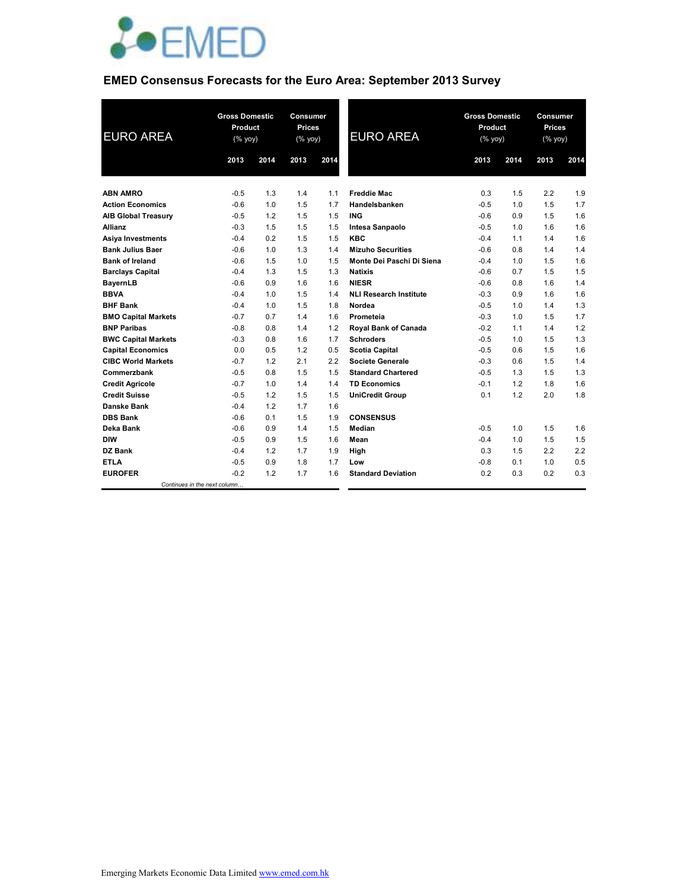

## **EMED Consensus Forecasts for the Euro Area: September 2013 Survey**

| <b>EURO AREA</b>           |                              | <b>Gross Domestic</b><br>Product<br>$(% \mathsf{Y}^{\prime }\mathsf{Y}^{\prime }\mathsf{Y}^{\prime })$ |      | Consumer<br><b>Prices</b><br>$(\%$ yoy) | <b>EURO AREA</b>              | <b>Gross Domestic</b><br>Product<br>(% yoy) |      | Consumer<br><b>Prices</b><br>(% yoy) |      |
|----------------------------|------------------------------|--------------------------------------------------------------------------------------------------------|------|-----------------------------------------|-------------------------------|---------------------------------------------|------|--------------------------------------|------|
|                            | 2013                         | 2014                                                                                                   | 2013 | 2014                                    |                               | 2013                                        | 2014 | 2013                                 | 2014 |
|                            |                              |                                                                                                        |      |                                         |                               |                                             |      |                                      |      |
| <b>ABN AMRO</b>            | $-0.5$                       | 1.3                                                                                                    | 1.4  | 1.1                                     | <b>Freddie Mac</b>            | 0.3                                         | 1.5  | 2.2                                  | 1.9  |
| <b>Action Economics</b>    | $-0.6$                       | 1.0                                                                                                    | 1.5  | 1.7                                     | Handelsbanken                 | $-0.5$                                      | 1.0  | 1.5                                  | 1.7  |
| <b>AIB Global Treasury</b> | $-0.5$                       | 1.2                                                                                                    | 1.5  | 1.5                                     | <b>ING</b>                    | $-0.6$                                      | 0.9  | 1.5                                  | 1.6  |
| <b>Allianz</b>             | $-0.3$                       | 1.5                                                                                                    | 1.5  | 1.5                                     | Intesa Sanpaolo               | $-0.5$                                      | 1.0  | 1.6                                  | 1.6  |
| <b>Asiya Investments</b>   | $-0.4$                       | 0.2                                                                                                    | 1.5  | 1.5                                     | <b>KBC</b>                    | $-0.4$                                      | 1.1  | 1.4                                  | 1.6  |
| <b>Bank Julius Baer</b>    | $-0.6$                       | 1.0                                                                                                    | 1.3  | 1.4                                     | <b>Mizuho Securities</b>      | $-0.6$                                      | 0.8  | 1.4                                  | 1.4  |
| <b>Bank of Ireland</b>     | $-0.6$                       | 1.5                                                                                                    | 1.0  | 1.5                                     | Monte Dei Paschi Di Siena     | $-0.4$                                      | 1.0  | 1.5                                  | 1.6  |
| <b>Barclays Capital</b>    | $-0.4$                       | 1.3                                                                                                    | 1.5  | 1.3                                     | <b>Natixis</b>                | $-0.6$                                      | 0.7  | 1.5                                  | 1.5  |
| BayernLB                   | $-0.6$                       | 0.9                                                                                                    | 1.6  | 1.6                                     | <b>NIESR</b>                  | $-0.6$                                      | 0.8  | 1.6                                  | 1.4  |
| <b>BBVA</b>                | $-0.4$                       | 1.0                                                                                                    | 1.5  | 1.4                                     | <b>NLI Research Institute</b> | $-0.3$                                      | 0.9  | 1.6                                  | 1.6  |
| <b>BHF Bank</b>            | $-0.4$                       | 1.0                                                                                                    | 1.5  | 1.8                                     | Nordea                        | $-0.5$                                      | 1.0  | 1.4                                  | 1.3  |
| <b>BMO Capital Markets</b> | $-0.7$                       | 0.7                                                                                                    | 1.4  | 1.6                                     | Prometeia                     | $-0.3$                                      | 1.0  | 1.5                                  | 1.7  |
| <b>BNP Paribas</b>         | $-0.8$                       | 0.8                                                                                                    | 1.4  | 1.2                                     | Royal Bank of Canada          | $-0.2$                                      | 1.1  | 1.4                                  | 1.2  |
| <b>BWC Capital Markets</b> | $-0.3$                       | 0.8                                                                                                    | 1.6  | 1.7                                     | <b>Schroders</b>              | $-0.5$                                      | 1.0  | 1.5                                  | 1.3  |
| <b>Capital Economics</b>   | 0.0                          | 0.5                                                                                                    | 1.2  | 0.5                                     | <b>Scotia Capital</b>         | $-0.5$                                      | 0.6  | 1.5                                  | 1.6  |
| <b>CIBC World Markets</b>  | $-0.7$                       | 1.2                                                                                                    | 2.1  | 2.2                                     | <b>Societe Generale</b>       | $-0.3$                                      | 0.6  | 1.5                                  | 1.4  |
| Commerzbank                | $-0.5$                       | 0.8                                                                                                    | 1.5  | 1.5                                     | <b>Standard Chartered</b>     | $-0.5$                                      | 1.3  | 1.5                                  | 1.3  |
| <b>Credit Agricole</b>     | $-0.7$                       | 1.0                                                                                                    | 1.4  | 1.4                                     | <b>TD Economics</b>           | $-0.1$                                      | 1.2  | 1.8                                  | 1.6  |
| <b>Credit Suisse</b>       | $-0.5$                       | 1.2                                                                                                    | 1.5  | 1.5                                     | <b>UniCredit Group</b>        | 0.1                                         | 1.2  | 2.0                                  | 1.8  |
| Danske Bank                | $-0.4$                       | 1.2                                                                                                    | 1.7  | 1.6                                     |                               |                                             |      |                                      |      |
| <b>DBS Bank</b>            | $-0.6$                       | 0.1                                                                                                    | 1.5  | 1.9                                     | <b>CONSENSUS</b>              |                                             |      |                                      |      |
| Deka Bank                  | $-0.6$                       | 0.9                                                                                                    | 1.4  | 1.5                                     | Median                        | $-0.5$                                      | 1.0  | 1.5                                  | 1.6  |
| <b>DIW</b>                 | $-0.5$                       | 0.9                                                                                                    | 1.5  | 1.6                                     | Mean                          | $-0.4$                                      | 1.0  | 1.5                                  | 1.5  |
| DZ Bank                    | $-0.4$                       | 1.2                                                                                                    | 1.7  | 1.9                                     | High                          | 0.3                                         | 1.5  | 2.2                                  | 2.2  |
| <b>ETLA</b>                | $-0.5$                       | 0.9                                                                                                    | 1.8  | 1.7                                     | Low                           | $-0.8$                                      | 0.1  | 1.0                                  | 0.5  |
| <b>EUROFER</b>             | $-0.2$                       | 1.2                                                                                                    | 1.7  | 1.6                                     | <b>Standard Deviation</b>     | 0.2                                         | 0.3  | 0.2                                  | 0.3  |
|                            | Continues in the next column |                                                                                                        |      |                                         |                               |                                             |      |                                      |      |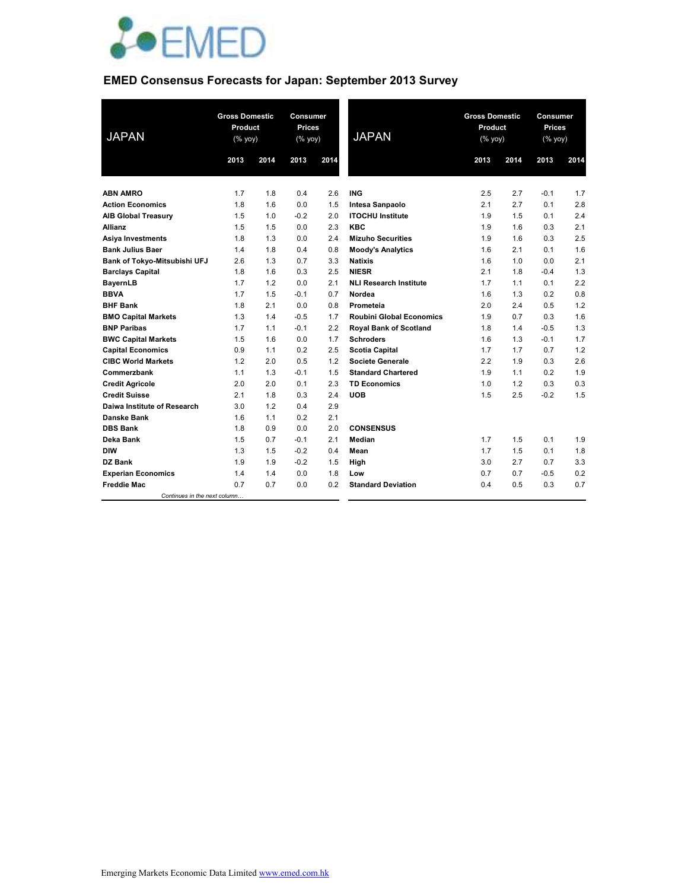

# **EMED Consensus Forecasts for Japan: September 2013 Survey**

| <b>JAPAN</b>                 | <b>Gross Domestic</b><br>Product<br>(% yoy) |      | Consumer<br><b>Prices</b><br>$(\%$ yoy) |      | <b>JAPAN</b>                    | <b>Gross Domestic</b><br>Product<br>(% yoy) |      | Consumer<br><b>Prices</b><br>(% yoy) |      |
|------------------------------|---------------------------------------------|------|-----------------------------------------|------|---------------------------------|---------------------------------------------|------|--------------------------------------|------|
|                              | 2013                                        | 2014 | 2013                                    | 2014 |                                 | 2013                                        | 2014 | 2013                                 | 2014 |
|                              |                                             |      |                                         |      |                                 |                                             |      |                                      |      |
| <b>ABN AMRO</b>              | 1.7                                         | 1.8  | 0.4                                     | 2.6  | <b>ING</b>                      | 2.5                                         | 2.7  | $-0.1$                               | 1.7  |
| <b>Action Economics</b>      | 1.8                                         | 1.6  | 0.0                                     | 1.5  | Intesa Sanpaolo                 | 2.1                                         | 2.7  | 0.1                                  | 2.8  |
| <b>AIB Global Treasury</b>   | 1.5                                         | 1.0  | $-0.2$                                  | 2.0  | <b>ITOCHU Institute</b>         | 1.9                                         | 1.5  | 0.1                                  | 2.4  |
| <b>Allianz</b>               | 1.5                                         | 1.5  | 0.0                                     | 2.3  | <b>KBC</b>                      | 1.9                                         | 1.6  | 0.3                                  | 2.1  |
| <b>Asiya Investments</b>     | 1.8                                         | 1.3  | 0.0                                     | 2.4  | <b>Mizuho Securities</b>        | 1.9                                         | 1.6  | 0.3                                  | 2.5  |
| <b>Bank Julius Baer</b>      | 1.4                                         | 1.8  | 0.4                                     | 0.8  | <b>Moody's Analytics</b>        | 1.6                                         | 2.1  | 0.1                                  | 1.6  |
| Bank of Tokyo-Mitsubishi UFJ | 2.6                                         | 1.3  | 0.7                                     | 3.3  | <b>Natixis</b>                  | 1.6                                         | 1.0  | 0.0                                  | 2.1  |
| <b>Barclays Capital</b>      | 1.8                                         | 1.6  | 0.3                                     | 2.5  | <b>NIESR</b>                    | 2.1                                         | 1.8  | $-0.4$                               | 1.3  |
| <b>BayernLB</b>              | 1.7                                         | 1.2  | 0.0                                     | 2.1  | <b>NLI Research Institute</b>   | 1.7                                         | 1.1  | 0.1                                  | 2.2  |
| <b>BBVA</b>                  | 1.7                                         | 1.5  | $-0.1$                                  | 0.7  | Nordea                          | 1.6                                         | 1.3  | 0.2                                  | 0.8  |
| <b>BHF Bank</b>              | 1.8                                         | 2.1  | 0.0                                     | 0.8  | Prometeia                       | 2.0                                         | 2.4  | 0.5                                  | 1.2  |
| <b>BMO Capital Markets</b>   | 1.3                                         | 1.4  | $-0.5$                                  | 1.7  | <b>Roubini Global Economics</b> | 1.9                                         | 0.7  | 0.3                                  | 1.6  |
| <b>BNP Paribas</b>           | 1.7                                         | 1.1  | $-0.1$                                  | 2.2  | <b>Royal Bank of Scotland</b>   | 1.8                                         | 1.4  | $-0.5$                               | 1.3  |
| <b>BWC Capital Markets</b>   | 1.5                                         | 1.6  | 0.0                                     | 1.7  | <b>Schroders</b>                | 1.6                                         | 1.3  | $-0.1$                               | 1.7  |
| <b>Capital Economics</b>     | 0.9                                         | 1.1  | 0.2                                     | 2.5  | <b>Scotia Capital</b>           | 1.7                                         | 1.7  | 0.7                                  | 1.2  |
| <b>CIBC World Markets</b>    | 1.2                                         | 2.0  | 0.5                                     | 1.2  | <b>Societe Generale</b>         | 2.2                                         | 1.9  | 0.3                                  | 2.6  |
| Commerzbank                  | 1.1                                         | 1.3  | $-0.1$                                  | 1.5  | <b>Standard Chartered</b>       | 1.9                                         | 1.1  | 0.2                                  | 1.9  |
| <b>Credit Agricole</b>       | 2.0                                         | 2.0  | 0.1                                     | 2.3  | <b>TD Economics</b>             | 1.0                                         | 1.2  | 0.3                                  | 0.3  |
| <b>Credit Suisse</b>         | 2.1                                         | 1.8  | 0.3                                     | 2.4  | <b>UOB</b>                      | 1.5                                         | 2.5  | $-0.2$                               | 1.5  |
| Daiwa Institute of Research  | 3.0                                         | 1.2  | 0.4                                     | 2.9  |                                 |                                             |      |                                      |      |
| Danske Bank                  | 1.6                                         | 1.1  | 0.2                                     | 2.1  |                                 |                                             |      |                                      |      |
| <b>DBS Bank</b>              | 1.8                                         | 0.9  | 0.0                                     | 2.0  | <b>CONSENSUS</b>                |                                             |      |                                      |      |
| Deka Bank                    | 1.5                                         | 0.7  | $-0.1$                                  | 2.1  | Median                          | 1.7                                         | 1.5  | 0.1                                  | 1.9  |
| <b>DIW</b>                   | 1.3                                         | 1.5  | $-0.2$                                  | 0.4  | Mean                            | 1.7                                         | 1.5  | 0.1                                  | 1.8  |
| DZ Bank                      | 1.9                                         | 1.9  | $-0.2$                                  | 1.5  | High                            | 3.0                                         | 2.7  | 0.7                                  | 3.3  |
| <b>Experian Economics</b>    | 1.4                                         | 1.4  | 0.0                                     | 1.8  | Low                             | 0.7                                         | 0.7  | $-0.5$                               | 0.2  |
| <b>Freddie Mac</b>           | 0.7                                         | 0.7  | 0.0                                     | 0.2  | <b>Standard Deviation</b>       | 0.4                                         | 0.5  | 0.3                                  | 0.7  |
| Continues in the next column |                                             |      |                                         |      |                                 |                                             |      |                                      |      |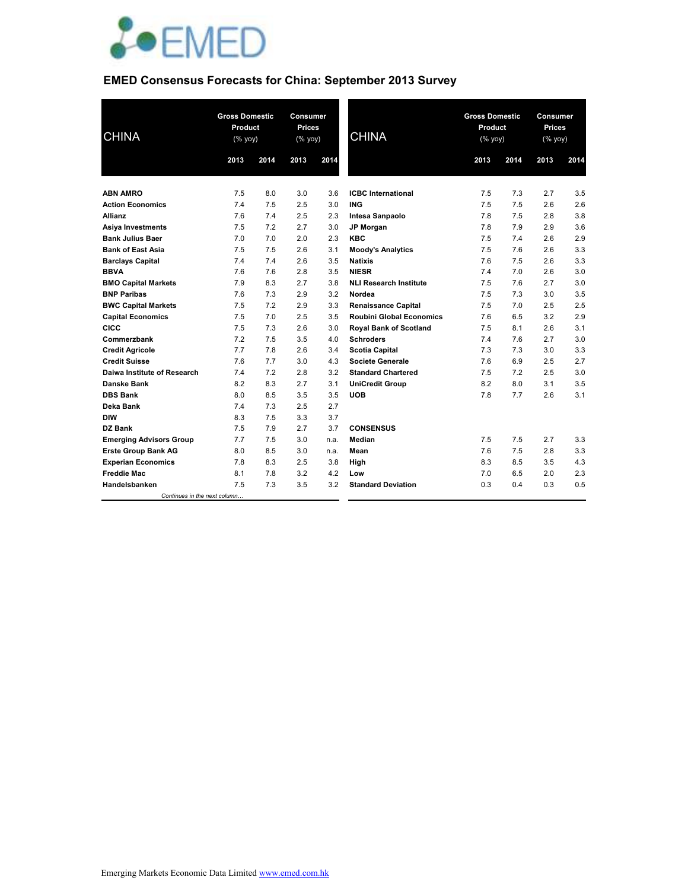

# **EMED Consensus Forecasts for China: September 2013 Survey**

| <b>CHINA</b>                   | <b>Gross Domestic</b><br>Product<br>(% yoy) |      | <b>Prices</b><br>(% yoy) | Consumer<br><b>CHINA</b> |                                 | <b>Gross Domestic</b><br>Product<br>(% yoy) |      | Consumer<br><b>Prices</b><br>(% yoy) |      |
|--------------------------------|---------------------------------------------|------|--------------------------|--------------------------|---------------------------------|---------------------------------------------|------|--------------------------------------|------|
|                                | 2013                                        | 2014 | 2013                     | 2014                     |                                 | 2013                                        | 2014 | 2013                                 | 2014 |
|                                |                                             |      |                          |                          |                                 |                                             |      |                                      |      |
| <b>ABN AMRO</b>                | 7.5                                         | 8.0  | 3.0                      | 3.6                      | <b>ICBC</b> International       | 7.5                                         | 7.3  | 2.7                                  | 3.5  |
| <b>Action Economics</b>        | 7.4                                         | 7.5  | 2.5                      | 3.0                      | <b>ING</b>                      | 7.5                                         | 7.5  | 2.6                                  | 2.6  |
| Allianz                        | 7.6                                         | 7.4  | 2.5                      | 2.3                      | Intesa Sanpaolo                 | 7.8                                         | 7.5  | 2.8                                  | 3.8  |
| <b>Asiya Investments</b>       | 7.5                                         | 7.2  | 2.7                      | 3.0                      | <b>JP Morgan</b>                | 7.8                                         | 7.9  | 2.9                                  | 3.6  |
| <b>Bank Julius Baer</b>        | 7.0                                         | 7.0  | 2.0                      | 2.3                      | <b>KBC</b>                      | 7.5                                         | 7.4  | 2.6                                  | 2.9  |
| <b>Bank of East Asia</b>       | 7.5                                         | 7.5  | 2.6                      | 3.1                      | <b>Moody's Analytics</b>        | 7.5                                         | 7.6  | 2.6                                  | 3.3  |
| <b>Barclays Capital</b>        | 7.4                                         | 7.4  | 2.6                      | 3.5                      | <b>Natixis</b>                  | 7.6                                         | 7.5  | 2.6                                  | 3.3  |
| <b>BBVA</b>                    | 7.6                                         | 7.6  | 2.8                      | 3.5                      | <b>NIESR</b>                    | 7.4                                         | 7.0  | 2.6                                  | 3.0  |
| <b>BMO Capital Markets</b>     | 7.9                                         | 8.3  | 2.7                      | 3.8                      | <b>NLI Research Institute</b>   | 7.5                                         | 7.6  | 2.7                                  | 3.0  |
| <b>BNP Paribas</b>             | 7.6                                         | 7.3  | 2.9                      | 3.2                      | Nordea                          | 7.5                                         | 7.3  | 3.0                                  | 3.5  |
| <b>BWC Capital Markets</b>     | 7.5                                         | 7.2  | 2.9                      | 3.3                      | <b>Renaissance Capital</b>      | 7.5                                         | 7.0  | 2.5                                  | 2.5  |
| <b>Capital Economics</b>       | 7.5                                         | 7.0  | 2.5                      | 3.5                      | <b>Roubini Global Economics</b> | 7.6                                         | 6.5  | 3.2                                  | 2.9  |
| <b>CICC</b>                    | 7.5                                         | 7.3  | 2.6                      | 3.0                      | <b>Royal Bank of Scotland</b>   | 7.5                                         | 8.1  | 2.6                                  | 3.1  |
| Commerzbank                    | 7.2                                         | 7.5  | 3.5                      | 4.0                      | <b>Schroders</b>                | 7.4                                         | 7.6  | 2.7                                  | 3.0  |
| <b>Credit Agricole</b>         | 7.7                                         | 7.8  | 2.6                      | 3.4                      | <b>Scotia Capital</b>           | 7.3                                         | 7.3  | 3.0                                  | 3.3  |
| <b>Credit Suisse</b>           | 7.6                                         | 7.7  | 3.0                      | 4.3                      | <b>Societe Generale</b>         | 7.6                                         | 6.9  | 2.5                                  | 2.7  |
| Daiwa Institute of Research    | 7.4                                         | 7.2  | 2.8                      | 3.2                      | <b>Standard Chartered</b>       | 7.5                                         | 7.2  | 2.5                                  | 3.0  |
| <b>Danske Bank</b>             | 8.2                                         | 8.3  | 2.7                      | 3.1                      | <b>UniCredit Group</b>          | 8.2                                         | 8.0  | 3.1                                  | 3.5  |
| <b>DBS Bank</b>                | 8.0                                         | 8.5  | 3.5                      | 3.5                      | <b>UOB</b>                      | 7.8                                         | 7.7  | 2.6                                  | 3.1  |
| Deka Bank                      | 7.4                                         | 7.3  | 2.5                      | 2.7                      |                                 |                                             |      |                                      |      |
| <b>DIW</b>                     | 8.3                                         | 7.5  | 3.3                      | 3.7                      |                                 |                                             |      |                                      |      |
| DZ Bank                        | 7.5                                         | 7.9  | 2.7                      | 3.7                      | <b>CONSENSUS</b>                |                                             |      |                                      |      |
| <b>Emerging Advisors Group</b> | 7.7                                         | 7.5  | 3.0                      | n.a.                     | <b>Median</b>                   | 7.5                                         | 7.5  | 2.7                                  | 3.3  |
| <b>Erste Group Bank AG</b>     | 8.0                                         | 8.5  | 3.0                      | n.a.                     | Mean                            | 7.6                                         | 7.5  | 2.8                                  | 3.3  |
| <b>Experian Economics</b>      | 7.8                                         | 8.3  | 2.5                      | 3.8                      | High                            | 8.3                                         | 8.5  | 3.5                                  | 4.3  |
| <b>Freddie Mac</b>             | 8.1                                         | 7.8  | 3.2                      | 4.2                      | Low                             | 7.0                                         | 6.5  | 2.0                                  | 2.3  |
| Handelsbanken                  | 7.5                                         | 7.3  | 3.5                      | 3.2                      | <b>Standard Deviation</b>       | 0.3                                         | 0.4  | 0.3                                  | 0.5  |
| Continues in the next column   |                                             |      |                          |                          |                                 |                                             |      |                                      |      |